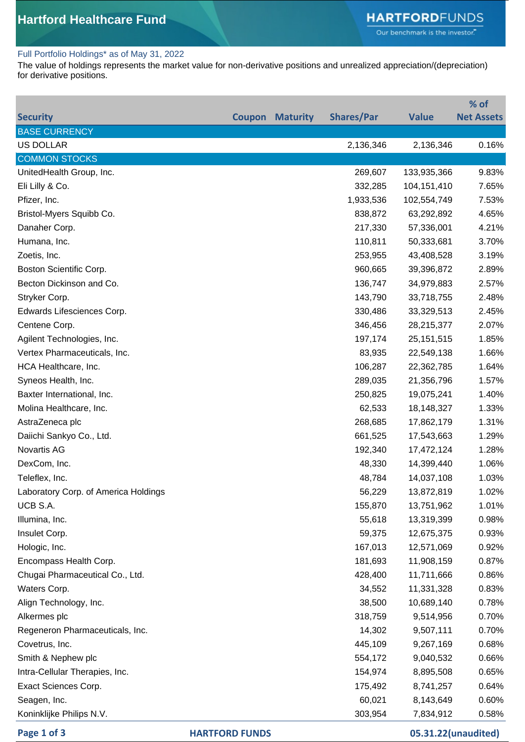### Full Portfolio Holdings\* as of May 31, 2022

The value of holdings represents the market value for non-derivative positions and unrealized appreciation/(depreciation) for derivative positions.

| <b>Value</b><br><b>Net Assets</b><br><b>Shares/Par</b><br><b>Security</b><br><b>Coupon</b><br><b>Maturity</b><br><b>BASE CURRENCY</b><br><b>US DOLLAR</b><br>2,136,346<br>2,136,346<br>0.16%<br><b>COMMON STOCKS</b><br>UnitedHealth Group, Inc.<br>9.83%<br>269,607<br>133,935,366<br>Eli Lilly & Co.<br>332,285<br>104, 151, 410<br>7.65%<br>Pfizer, Inc.<br>1,933,536<br>102,554,749<br>7.53%<br>Bristol-Myers Squibb Co.<br>838,872<br>63,292,892<br>4.65%<br>Danaher Corp.<br>217,330<br>57,336,001<br>4.21%<br>Humana, Inc.<br>110,811<br>50,333,681<br>3.70%<br>Zoetis, Inc.<br>253,955<br>43,408,528<br>3.19%<br>Boston Scientific Corp.<br>2.89%<br>960,665<br>39,396,872<br>Becton Dickinson and Co.<br>136,747<br>2.57%<br>34,979,883<br>Stryker Corp.<br>143,790<br>33,718,755<br>2.48%<br>Edwards Lifesciences Corp.<br>330,486<br>2.45%<br>33,329,513<br>Centene Corp.<br>346,456<br>28,215,377<br>2.07%<br>Agilent Technologies, Inc.<br>197,174<br>25, 151, 515<br>1.85%<br>1.66%<br>Vertex Pharmaceuticals, Inc.<br>83,935<br>22,549,138<br>1.64%<br>HCA Healthcare, Inc.<br>106,287<br>22,362,785<br>Syneos Health, Inc.<br>289,035<br>1.57%<br>21,356,796<br>Baxter International, Inc.<br>250,825<br>19,075,241<br>1.40%<br>1.33%<br>Molina Healthcare, Inc.<br>62,533<br>18,148,327<br>AstraZeneca plc<br>268,685<br>1.31%<br>17,862,179<br>Daiichi Sankyo Co., Ltd.<br>661,525<br>17,543,663<br>1.29%<br>Novartis AG<br>192,340<br>17,472,124<br>1.28%<br>DexCom, Inc.<br>48,330<br>1.06%<br>14,399,440<br>Teleflex, Inc.<br>48,784<br>14,037,108<br>1.03%<br>Laboratory Corp. of America Holdings<br>56,229<br>13,872,819<br>1.02%<br>UCB S.A.<br>155,870<br>13,751,962<br>13,319,399<br>0.98%<br>Illumina, Inc.<br>55,618<br>Insulet Corp.<br>59,375<br>12,675,375<br>0.93%<br>167,013<br>Hologic, Inc.<br>12,571,069<br>0.92%<br>Encompass Health Corp.<br>181,693<br>11,908,159<br>0.87%<br>0.86%<br>Chugai Pharmaceutical Co., Ltd.<br>428,400<br>11,711,666<br>Waters Corp.<br>34,552<br>11,331,328<br>0.83%<br>Align Technology, Inc.<br>38,500<br>10,689,140<br>0.78%<br>0.70%<br>Alkermes plc<br>318,759<br>9,514,956<br>Regeneron Pharmaceuticals, Inc.<br>14,302<br>9,507,111<br>0.70%<br>445,109<br>9,267,169<br>0.68%<br>Covetrus, Inc.<br>0.66%<br>Smith & Nephew plc<br>9,040,532<br>554,172<br>Intra-Cellular Therapies, Inc.<br>154,974<br>8,895,508<br>0.65%<br>Exact Sciences Corp.<br>0.64%<br>8,741,257<br>175,492<br>Seagen, Inc.<br>60,021<br>8,143,649<br>0.60% |                          |  |         |           | % of  |
|---------------------------------------------------------------------------------------------------------------------------------------------------------------------------------------------------------------------------------------------------------------------------------------------------------------------------------------------------------------------------------------------------------------------------------------------------------------------------------------------------------------------------------------------------------------------------------------------------------------------------------------------------------------------------------------------------------------------------------------------------------------------------------------------------------------------------------------------------------------------------------------------------------------------------------------------------------------------------------------------------------------------------------------------------------------------------------------------------------------------------------------------------------------------------------------------------------------------------------------------------------------------------------------------------------------------------------------------------------------------------------------------------------------------------------------------------------------------------------------------------------------------------------------------------------------------------------------------------------------------------------------------------------------------------------------------------------------------------------------------------------------------------------------------------------------------------------------------------------------------------------------------------------------------------------------------------------------------------------------------------------------------------------------------------------------------------------------------------------------------------------------------------------------------------------------------------------------------------------------------------------------------------------------------------------------------------------------------------------------------------------------------------------------------------------------------------------------------------------------------------------------|--------------------------|--|---------|-----------|-------|
|                                                                                                                                                                                                                                                                                                                                                                                                                                                                                                                                                                                                                                                                                                                                                                                                                                                                                                                                                                                                                                                                                                                                                                                                                                                                                                                                                                                                                                                                                                                                                                                                                                                                                                                                                                                                                                                                                                                                                                                                                                                                                                                                                                                                                                                                                                                                                                                                                                                                                                               |                          |  |         |           |       |
| 1.01%                                                                                                                                                                                                                                                                                                                                                                                                                                                                                                                                                                                                                                                                                                                                                                                                                                                                                                                                                                                                                                                                                                                                                                                                                                                                                                                                                                                                                                                                                                                                                                                                                                                                                                                                                                                                                                                                                                                                                                                                                                                                                                                                                                                                                                                                                                                                                                                                                                                                                                         |                          |  |         |           |       |
|                                                                                                                                                                                                                                                                                                                                                                                                                                                                                                                                                                                                                                                                                                                                                                                                                                                                                                                                                                                                                                                                                                                                                                                                                                                                                                                                                                                                                                                                                                                                                                                                                                                                                                                                                                                                                                                                                                                                                                                                                                                                                                                                                                                                                                                                                                                                                                                                                                                                                                               |                          |  |         |           |       |
|                                                                                                                                                                                                                                                                                                                                                                                                                                                                                                                                                                                                                                                                                                                                                                                                                                                                                                                                                                                                                                                                                                                                                                                                                                                                                                                                                                                                                                                                                                                                                                                                                                                                                                                                                                                                                                                                                                                                                                                                                                                                                                                                                                                                                                                                                                                                                                                                                                                                                                               |                          |  |         |           |       |
|                                                                                                                                                                                                                                                                                                                                                                                                                                                                                                                                                                                                                                                                                                                                                                                                                                                                                                                                                                                                                                                                                                                                                                                                                                                                                                                                                                                                                                                                                                                                                                                                                                                                                                                                                                                                                                                                                                                                                                                                                                                                                                                                                                                                                                                                                                                                                                                                                                                                                                               |                          |  |         |           |       |
|                                                                                                                                                                                                                                                                                                                                                                                                                                                                                                                                                                                                                                                                                                                                                                                                                                                                                                                                                                                                                                                                                                                                                                                                                                                                                                                                                                                                                                                                                                                                                                                                                                                                                                                                                                                                                                                                                                                                                                                                                                                                                                                                                                                                                                                                                                                                                                                                                                                                                                               |                          |  |         |           |       |
|                                                                                                                                                                                                                                                                                                                                                                                                                                                                                                                                                                                                                                                                                                                                                                                                                                                                                                                                                                                                                                                                                                                                                                                                                                                                                                                                                                                                                                                                                                                                                                                                                                                                                                                                                                                                                                                                                                                                                                                                                                                                                                                                                                                                                                                                                                                                                                                                                                                                                                               |                          |  |         |           |       |
|                                                                                                                                                                                                                                                                                                                                                                                                                                                                                                                                                                                                                                                                                                                                                                                                                                                                                                                                                                                                                                                                                                                                                                                                                                                                                                                                                                                                                                                                                                                                                                                                                                                                                                                                                                                                                                                                                                                                                                                                                                                                                                                                                                                                                                                                                                                                                                                                                                                                                                               |                          |  |         |           |       |
|                                                                                                                                                                                                                                                                                                                                                                                                                                                                                                                                                                                                                                                                                                                                                                                                                                                                                                                                                                                                                                                                                                                                                                                                                                                                                                                                                                                                                                                                                                                                                                                                                                                                                                                                                                                                                                                                                                                                                                                                                                                                                                                                                                                                                                                                                                                                                                                                                                                                                                               |                          |  |         |           |       |
|                                                                                                                                                                                                                                                                                                                                                                                                                                                                                                                                                                                                                                                                                                                                                                                                                                                                                                                                                                                                                                                                                                                                                                                                                                                                                                                                                                                                                                                                                                                                                                                                                                                                                                                                                                                                                                                                                                                                                                                                                                                                                                                                                                                                                                                                                                                                                                                                                                                                                                               |                          |  |         |           |       |
|                                                                                                                                                                                                                                                                                                                                                                                                                                                                                                                                                                                                                                                                                                                                                                                                                                                                                                                                                                                                                                                                                                                                                                                                                                                                                                                                                                                                                                                                                                                                                                                                                                                                                                                                                                                                                                                                                                                                                                                                                                                                                                                                                                                                                                                                                                                                                                                                                                                                                                               |                          |  |         |           |       |
|                                                                                                                                                                                                                                                                                                                                                                                                                                                                                                                                                                                                                                                                                                                                                                                                                                                                                                                                                                                                                                                                                                                                                                                                                                                                                                                                                                                                                                                                                                                                                                                                                                                                                                                                                                                                                                                                                                                                                                                                                                                                                                                                                                                                                                                                                                                                                                                                                                                                                                               |                          |  |         |           |       |
|                                                                                                                                                                                                                                                                                                                                                                                                                                                                                                                                                                                                                                                                                                                                                                                                                                                                                                                                                                                                                                                                                                                                                                                                                                                                                                                                                                                                                                                                                                                                                                                                                                                                                                                                                                                                                                                                                                                                                                                                                                                                                                                                                                                                                                                                                                                                                                                                                                                                                                               |                          |  |         |           |       |
|                                                                                                                                                                                                                                                                                                                                                                                                                                                                                                                                                                                                                                                                                                                                                                                                                                                                                                                                                                                                                                                                                                                                                                                                                                                                                                                                                                                                                                                                                                                                                                                                                                                                                                                                                                                                                                                                                                                                                                                                                                                                                                                                                                                                                                                                                                                                                                                                                                                                                                               |                          |  |         |           |       |
|                                                                                                                                                                                                                                                                                                                                                                                                                                                                                                                                                                                                                                                                                                                                                                                                                                                                                                                                                                                                                                                                                                                                                                                                                                                                                                                                                                                                                                                                                                                                                                                                                                                                                                                                                                                                                                                                                                                                                                                                                                                                                                                                                                                                                                                                                                                                                                                                                                                                                                               |                          |  |         |           |       |
|                                                                                                                                                                                                                                                                                                                                                                                                                                                                                                                                                                                                                                                                                                                                                                                                                                                                                                                                                                                                                                                                                                                                                                                                                                                                                                                                                                                                                                                                                                                                                                                                                                                                                                                                                                                                                                                                                                                                                                                                                                                                                                                                                                                                                                                                                                                                                                                                                                                                                                               |                          |  |         |           |       |
|                                                                                                                                                                                                                                                                                                                                                                                                                                                                                                                                                                                                                                                                                                                                                                                                                                                                                                                                                                                                                                                                                                                                                                                                                                                                                                                                                                                                                                                                                                                                                                                                                                                                                                                                                                                                                                                                                                                                                                                                                                                                                                                                                                                                                                                                                                                                                                                                                                                                                                               |                          |  |         |           |       |
|                                                                                                                                                                                                                                                                                                                                                                                                                                                                                                                                                                                                                                                                                                                                                                                                                                                                                                                                                                                                                                                                                                                                                                                                                                                                                                                                                                                                                                                                                                                                                                                                                                                                                                                                                                                                                                                                                                                                                                                                                                                                                                                                                                                                                                                                                                                                                                                                                                                                                                               |                          |  |         |           |       |
|                                                                                                                                                                                                                                                                                                                                                                                                                                                                                                                                                                                                                                                                                                                                                                                                                                                                                                                                                                                                                                                                                                                                                                                                                                                                                                                                                                                                                                                                                                                                                                                                                                                                                                                                                                                                                                                                                                                                                                                                                                                                                                                                                                                                                                                                                                                                                                                                                                                                                                               |                          |  |         |           |       |
|                                                                                                                                                                                                                                                                                                                                                                                                                                                                                                                                                                                                                                                                                                                                                                                                                                                                                                                                                                                                                                                                                                                                                                                                                                                                                                                                                                                                                                                                                                                                                                                                                                                                                                                                                                                                                                                                                                                                                                                                                                                                                                                                                                                                                                                                                                                                                                                                                                                                                                               |                          |  |         |           |       |
|                                                                                                                                                                                                                                                                                                                                                                                                                                                                                                                                                                                                                                                                                                                                                                                                                                                                                                                                                                                                                                                                                                                                                                                                                                                                                                                                                                                                                                                                                                                                                                                                                                                                                                                                                                                                                                                                                                                                                                                                                                                                                                                                                                                                                                                                                                                                                                                                                                                                                                               |                          |  |         |           |       |
|                                                                                                                                                                                                                                                                                                                                                                                                                                                                                                                                                                                                                                                                                                                                                                                                                                                                                                                                                                                                                                                                                                                                                                                                                                                                                                                                                                                                                                                                                                                                                                                                                                                                                                                                                                                                                                                                                                                                                                                                                                                                                                                                                                                                                                                                                                                                                                                                                                                                                                               |                          |  |         |           |       |
|                                                                                                                                                                                                                                                                                                                                                                                                                                                                                                                                                                                                                                                                                                                                                                                                                                                                                                                                                                                                                                                                                                                                                                                                                                                                                                                                                                                                                                                                                                                                                                                                                                                                                                                                                                                                                                                                                                                                                                                                                                                                                                                                                                                                                                                                                                                                                                                                                                                                                                               |                          |  |         |           |       |
|                                                                                                                                                                                                                                                                                                                                                                                                                                                                                                                                                                                                                                                                                                                                                                                                                                                                                                                                                                                                                                                                                                                                                                                                                                                                                                                                                                                                                                                                                                                                                                                                                                                                                                                                                                                                                                                                                                                                                                                                                                                                                                                                                                                                                                                                                                                                                                                                                                                                                                               |                          |  |         |           |       |
|                                                                                                                                                                                                                                                                                                                                                                                                                                                                                                                                                                                                                                                                                                                                                                                                                                                                                                                                                                                                                                                                                                                                                                                                                                                                                                                                                                                                                                                                                                                                                                                                                                                                                                                                                                                                                                                                                                                                                                                                                                                                                                                                                                                                                                                                                                                                                                                                                                                                                                               |                          |  |         |           |       |
|                                                                                                                                                                                                                                                                                                                                                                                                                                                                                                                                                                                                                                                                                                                                                                                                                                                                                                                                                                                                                                                                                                                                                                                                                                                                                                                                                                                                                                                                                                                                                                                                                                                                                                                                                                                                                                                                                                                                                                                                                                                                                                                                                                                                                                                                                                                                                                                                                                                                                                               |                          |  |         |           |       |
|                                                                                                                                                                                                                                                                                                                                                                                                                                                                                                                                                                                                                                                                                                                                                                                                                                                                                                                                                                                                                                                                                                                                                                                                                                                                                                                                                                                                                                                                                                                                                                                                                                                                                                                                                                                                                                                                                                                                                                                                                                                                                                                                                                                                                                                                                                                                                                                                                                                                                                               |                          |  |         |           |       |
|                                                                                                                                                                                                                                                                                                                                                                                                                                                                                                                                                                                                                                                                                                                                                                                                                                                                                                                                                                                                                                                                                                                                                                                                                                                                                                                                                                                                                                                                                                                                                                                                                                                                                                                                                                                                                                                                                                                                                                                                                                                                                                                                                                                                                                                                                                                                                                                                                                                                                                               |                          |  |         |           |       |
|                                                                                                                                                                                                                                                                                                                                                                                                                                                                                                                                                                                                                                                                                                                                                                                                                                                                                                                                                                                                                                                                                                                                                                                                                                                                                                                                                                                                                                                                                                                                                                                                                                                                                                                                                                                                                                                                                                                                                                                                                                                                                                                                                                                                                                                                                                                                                                                                                                                                                                               |                          |  |         |           |       |
|                                                                                                                                                                                                                                                                                                                                                                                                                                                                                                                                                                                                                                                                                                                                                                                                                                                                                                                                                                                                                                                                                                                                                                                                                                                                                                                                                                                                                                                                                                                                                                                                                                                                                                                                                                                                                                                                                                                                                                                                                                                                                                                                                                                                                                                                                                                                                                                                                                                                                                               |                          |  |         |           |       |
|                                                                                                                                                                                                                                                                                                                                                                                                                                                                                                                                                                                                                                                                                                                                                                                                                                                                                                                                                                                                                                                                                                                                                                                                                                                                                                                                                                                                                                                                                                                                                                                                                                                                                                                                                                                                                                                                                                                                                                                                                                                                                                                                                                                                                                                                                                                                                                                                                                                                                                               |                          |  |         |           |       |
|                                                                                                                                                                                                                                                                                                                                                                                                                                                                                                                                                                                                                                                                                                                                                                                                                                                                                                                                                                                                                                                                                                                                                                                                                                                                                                                                                                                                                                                                                                                                                                                                                                                                                                                                                                                                                                                                                                                                                                                                                                                                                                                                                                                                                                                                                                                                                                                                                                                                                                               |                          |  |         |           |       |
|                                                                                                                                                                                                                                                                                                                                                                                                                                                                                                                                                                                                                                                                                                                                                                                                                                                                                                                                                                                                                                                                                                                                                                                                                                                                                                                                                                                                                                                                                                                                                                                                                                                                                                                                                                                                                                                                                                                                                                                                                                                                                                                                                                                                                                                                                                                                                                                                                                                                                                               |                          |  |         |           |       |
|                                                                                                                                                                                                                                                                                                                                                                                                                                                                                                                                                                                                                                                                                                                                                                                                                                                                                                                                                                                                                                                                                                                                                                                                                                                                                                                                                                                                                                                                                                                                                                                                                                                                                                                                                                                                                                                                                                                                                                                                                                                                                                                                                                                                                                                                                                                                                                                                                                                                                                               |                          |  |         |           |       |
|                                                                                                                                                                                                                                                                                                                                                                                                                                                                                                                                                                                                                                                                                                                                                                                                                                                                                                                                                                                                                                                                                                                                                                                                                                                                                                                                                                                                                                                                                                                                                                                                                                                                                                                                                                                                                                                                                                                                                                                                                                                                                                                                                                                                                                                                                                                                                                                                                                                                                                               |                          |  |         |           |       |
|                                                                                                                                                                                                                                                                                                                                                                                                                                                                                                                                                                                                                                                                                                                                                                                                                                                                                                                                                                                                                                                                                                                                                                                                                                                                                                                                                                                                                                                                                                                                                                                                                                                                                                                                                                                                                                                                                                                                                                                                                                                                                                                                                                                                                                                                                                                                                                                                                                                                                                               |                          |  |         |           |       |
|                                                                                                                                                                                                                                                                                                                                                                                                                                                                                                                                                                                                                                                                                                                                                                                                                                                                                                                                                                                                                                                                                                                                                                                                                                                                                                                                                                                                                                                                                                                                                                                                                                                                                                                                                                                                                                                                                                                                                                                                                                                                                                                                                                                                                                                                                                                                                                                                                                                                                                               |                          |  |         |           |       |
|                                                                                                                                                                                                                                                                                                                                                                                                                                                                                                                                                                                                                                                                                                                                                                                                                                                                                                                                                                                                                                                                                                                                                                                                                                                                                                                                                                                                                                                                                                                                                                                                                                                                                                                                                                                                                                                                                                                                                                                                                                                                                                                                                                                                                                                                                                                                                                                                                                                                                                               |                          |  |         |           |       |
|                                                                                                                                                                                                                                                                                                                                                                                                                                                                                                                                                                                                                                                                                                                                                                                                                                                                                                                                                                                                                                                                                                                                                                                                                                                                                                                                                                                                                                                                                                                                                                                                                                                                                                                                                                                                                                                                                                                                                                                                                                                                                                                                                                                                                                                                                                                                                                                                                                                                                                               |                          |  |         |           |       |
|                                                                                                                                                                                                                                                                                                                                                                                                                                                                                                                                                                                                                                                                                                                                                                                                                                                                                                                                                                                                                                                                                                                                                                                                                                                                                                                                                                                                                                                                                                                                                                                                                                                                                                                                                                                                                                                                                                                                                                                                                                                                                                                                                                                                                                                                                                                                                                                                                                                                                                               |                          |  |         |           |       |
|                                                                                                                                                                                                                                                                                                                                                                                                                                                                                                                                                                                                                                                                                                                                                                                                                                                                                                                                                                                                                                                                                                                                                                                                                                                                                                                                                                                                                                                                                                                                                                                                                                                                                                                                                                                                                                                                                                                                                                                                                                                                                                                                                                                                                                                                                                                                                                                                                                                                                                               |                          |  |         |           |       |
|                                                                                                                                                                                                                                                                                                                                                                                                                                                                                                                                                                                                                                                                                                                                                                                                                                                                                                                                                                                                                                                                                                                                                                                                                                                                                                                                                                                                                                                                                                                                                                                                                                                                                                                                                                                                                                                                                                                                                                                                                                                                                                                                                                                                                                                                                                                                                                                                                                                                                                               |                          |  |         |           |       |
|                                                                                                                                                                                                                                                                                                                                                                                                                                                                                                                                                                                                                                                                                                                                                                                                                                                                                                                                                                                                                                                                                                                                                                                                                                                                                                                                                                                                                                                                                                                                                                                                                                                                                                                                                                                                                                                                                                                                                                                                                                                                                                                                                                                                                                                                                                                                                                                                                                                                                                               |                          |  |         |           |       |
|                                                                                                                                                                                                                                                                                                                                                                                                                                                                                                                                                                                                                                                                                                                                                                                                                                                                                                                                                                                                                                                                                                                                                                                                                                                                                                                                                                                                                                                                                                                                                                                                                                                                                                                                                                                                                                                                                                                                                                                                                                                                                                                                                                                                                                                                                                                                                                                                                                                                                                               | Koninklijke Philips N.V. |  | 303,954 | 7,834,912 | 0.58% |

**Page 1 of 3 HARTFORD FUNDS 05.31.22(unaudited)**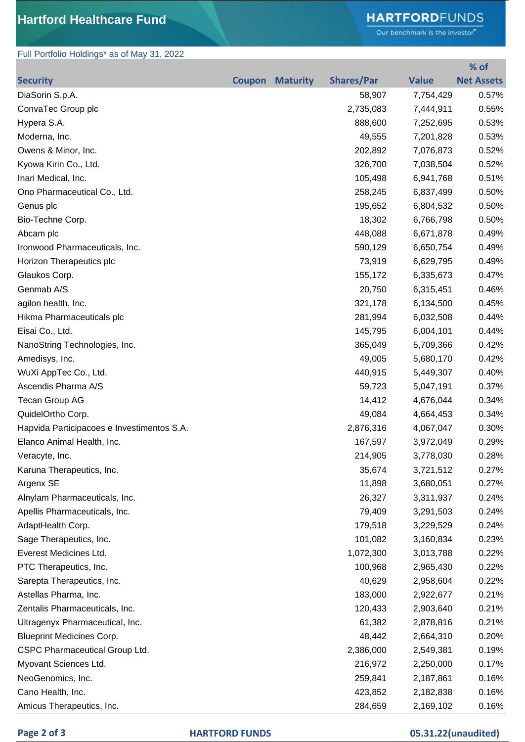# **Hartford Healthcare Fund**

# Full Portfolio Holdings\* as of May 31, 2022

# **HARTFORD**FUNDS

Our benchmark is the investor."

| <b>Coupon Maturity</b><br><b>Shares/Par</b><br><b>Value</b><br><b>Net Assets</b><br><b>Security</b><br>DiaSorin S.p.A.<br>0.57%<br>58,907<br>7,754,429<br>ConvaTec Group plc<br>2,735,083<br>0.55%<br>7,444,911<br>0.53%<br>Hypera S.A.<br>888,600<br>7,252,695<br>Moderna, Inc.<br>49,555<br>7,201,828<br>0.53%<br>202,892<br>0.52%<br>Owens & Minor, Inc.<br>7,076,873<br>Kyowa Kirin Co., Ltd.<br>326,700<br>7,038,504<br>0.52%<br>0.51%<br>Inari Medical, Inc.<br>105,498<br>6,941,768<br>258,245<br>6,837,499<br>0.50%<br>Ono Pharmaceutical Co., Ltd.<br>195,652<br>6,804,532<br>0.50%<br>Genus plc<br>Bio-Techne Corp.<br>18,302<br>6,766,798<br>0.50%<br>Abcam plc<br>448,088<br>0.49%<br>6,671,878<br>Ironwood Pharmaceuticals, Inc.<br>590,129<br>6,650,754<br>0.49%<br>73,919<br>6,629,795<br>0.49%<br>Horizon Therapeutics plc<br>0.47%<br>Glaukos Corp.<br>155,172<br>6,335,673<br>Genmab A/S<br>20,750<br>6,315,451<br>0.46%<br>agilon health, Inc.<br>321,178<br>0.45%<br>6,134,500<br>281,994<br>6,032,508<br>0.44%<br>Hikma Pharmaceuticals plc<br>Eisai Co., Ltd.<br>145,795<br>6,004,101<br>0.44%<br>NanoString Technologies, Inc.<br>365,049<br>5,709,366<br>0.42%<br>Amedisys, Inc.<br>49,005<br>5,680,170<br>0.42%<br>WuXi AppTec Co., Ltd.<br>440,915<br>0.40%<br>5,449,307<br>Ascendis Pharma A/S<br>59,723<br>5,047,191<br>0.37%<br>Tecan Group AG<br>14,412<br>4,676,044<br>0.34%<br>QuidelOrtho Corp.<br>0.34%<br>49,084<br>4,664,453<br>2,876,316<br>4,067,047<br>0.30%<br>Hapvida Participacoes e Investimentos S.A.<br>Elanco Animal Health, Inc.<br>167,597<br>3,972,049<br>0.29%<br>0.28%<br>214,905<br>3,778,030<br>Veracyte, Inc.<br>35,674<br>3,721,512<br>0.27%<br>Karuna Therapeutics, Inc.<br>Argenx SE<br>11,898<br>3,680,051<br>0.27%<br>Alnylam Pharmaceuticals, Inc.<br>26,327<br>0.24%<br>3,311,937<br>Apellis Pharmaceuticals, Inc.<br>79,409<br>0.24%<br>3,291,503<br>AdaptHealth Corp.<br>179,518<br>0.24%<br>3,229,529<br>Sage Therapeutics, Inc.<br>101,082<br>3,160,834<br>0.23%<br>Everest Medicines Ltd.<br>1,072,300<br>0.22%<br>3,013,788<br>PTC Therapeutics, Inc.<br>100,968<br>0.22%<br>2,965,430<br>Sarepta Therapeutics, Inc.<br>40,629<br>0.22%<br>2,958,604<br>Astellas Pharma, Inc.<br>183,000<br>0.21%<br>2,922,677<br>Zentalis Pharmaceuticals, Inc.<br>120,433<br>0.21%<br>2,903,640<br>Ultragenyx Pharmaceutical, Inc.<br>61,382<br>2,878,816<br>0.21%<br><b>Blueprint Medicines Corp.</b><br>48,442<br>0.20%<br>2,664,310<br>CSPC Pharmaceutical Group Ltd.<br>2,386,000<br>0.19%<br>2,549,381<br>Myovant Sciences Ltd.<br>216,972<br>2,250,000<br>0.17%<br>NeoGenomics, Inc.<br>2,187,861<br>0.16%<br>259,841<br>Cano Health, Inc.<br>423,852<br>0.16%<br>2,182,838 |                           |  |         |           | % of  |
|----------------------------------------------------------------------------------------------------------------------------------------------------------------------------------------------------------------------------------------------------------------------------------------------------------------------------------------------------------------------------------------------------------------------------------------------------------------------------------------------------------------------------------------------------------------------------------------------------------------------------------------------------------------------------------------------------------------------------------------------------------------------------------------------------------------------------------------------------------------------------------------------------------------------------------------------------------------------------------------------------------------------------------------------------------------------------------------------------------------------------------------------------------------------------------------------------------------------------------------------------------------------------------------------------------------------------------------------------------------------------------------------------------------------------------------------------------------------------------------------------------------------------------------------------------------------------------------------------------------------------------------------------------------------------------------------------------------------------------------------------------------------------------------------------------------------------------------------------------------------------------------------------------------------------------------------------------------------------------------------------------------------------------------------------------------------------------------------------------------------------------------------------------------------------------------------------------------------------------------------------------------------------------------------------------------------------------------------------------------------------------------------------------------------------------------------------------------------------------------------------------------------------------------------------------------------------------------------------------------------------------------------------------------------------------------------------------------------------------------|---------------------------|--|---------|-----------|-------|
|                                                                                                                                                                                                                                                                                                                                                                                                                                                                                                                                                                                                                                                                                                                                                                                                                                                                                                                                                                                                                                                                                                                                                                                                                                                                                                                                                                                                                                                                                                                                                                                                                                                                                                                                                                                                                                                                                                                                                                                                                                                                                                                                                                                                                                                                                                                                                                                                                                                                                                                                                                                                                                                                                                                                        |                           |  |         |           |       |
|                                                                                                                                                                                                                                                                                                                                                                                                                                                                                                                                                                                                                                                                                                                                                                                                                                                                                                                                                                                                                                                                                                                                                                                                                                                                                                                                                                                                                                                                                                                                                                                                                                                                                                                                                                                                                                                                                                                                                                                                                                                                                                                                                                                                                                                                                                                                                                                                                                                                                                                                                                                                                                                                                                                                        |                           |  |         |           |       |
|                                                                                                                                                                                                                                                                                                                                                                                                                                                                                                                                                                                                                                                                                                                                                                                                                                                                                                                                                                                                                                                                                                                                                                                                                                                                                                                                                                                                                                                                                                                                                                                                                                                                                                                                                                                                                                                                                                                                                                                                                                                                                                                                                                                                                                                                                                                                                                                                                                                                                                                                                                                                                                                                                                                                        |                           |  |         |           |       |
|                                                                                                                                                                                                                                                                                                                                                                                                                                                                                                                                                                                                                                                                                                                                                                                                                                                                                                                                                                                                                                                                                                                                                                                                                                                                                                                                                                                                                                                                                                                                                                                                                                                                                                                                                                                                                                                                                                                                                                                                                                                                                                                                                                                                                                                                                                                                                                                                                                                                                                                                                                                                                                                                                                                                        |                           |  |         |           |       |
|                                                                                                                                                                                                                                                                                                                                                                                                                                                                                                                                                                                                                                                                                                                                                                                                                                                                                                                                                                                                                                                                                                                                                                                                                                                                                                                                                                                                                                                                                                                                                                                                                                                                                                                                                                                                                                                                                                                                                                                                                                                                                                                                                                                                                                                                                                                                                                                                                                                                                                                                                                                                                                                                                                                                        |                           |  |         |           |       |
|                                                                                                                                                                                                                                                                                                                                                                                                                                                                                                                                                                                                                                                                                                                                                                                                                                                                                                                                                                                                                                                                                                                                                                                                                                                                                                                                                                                                                                                                                                                                                                                                                                                                                                                                                                                                                                                                                                                                                                                                                                                                                                                                                                                                                                                                                                                                                                                                                                                                                                                                                                                                                                                                                                                                        |                           |  |         |           |       |
|                                                                                                                                                                                                                                                                                                                                                                                                                                                                                                                                                                                                                                                                                                                                                                                                                                                                                                                                                                                                                                                                                                                                                                                                                                                                                                                                                                                                                                                                                                                                                                                                                                                                                                                                                                                                                                                                                                                                                                                                                                                                                                                                                                                                                                                                                                                                                                                                                                                                                                                                                                                                                                                                                                                                        |                           |  |         |           |       |
|                                                                                                                                                                                                                                                                                                                                                                                                                                                                                                                                                                                                                                                                                                                                                                                                                                                                                                                                                                                                                                                                                                                                                                                                                                                                                                                                                                                                                                                                                                                                                                                                                                                                                                                                                                                                                                                                                                                                                                                                                                                                                                                                                                                                                                                                                                                                                                                                                                                                                                                                                                                                                                                                                                                                        |                           |  |         |           |       |
|                                                                                                                                                                                                                                                                                                                                                                                                                                                                                                                                                                                                                                                                                                                                                                                                                                                                                                                                                                                                                                                                                                                                                                                                                                                                                                                                                                                                                                                                                                                                                                                                                                                                                                                                                                                                                                                                                                                                                                                                                                                                                                                                                                                                                                                                                                                                                                                                                                                                                                                                                                                                                                                                                                                                        |                           |  |         |           |       |
|                                                                                                                                                                                                                                                                                                                                                                                                                                                                                                                                                                                                                                                                                                                                                                                                                                                                                                                                                                                                                                                                                                                                                                                                                                                                                                                                                                                                                                                                                                                                                                                                                                                                                                                                                                                                                                                                                                                                                                                                                                                                                                                                                                                                                                                                                                                                                                                                                                                                                                                                                                                                                                                                                                                                        |                           |  |         |           |       |
|                                                                                                                                                                                                                                                                                                                                                                                                                                                                                                                                                                                                                                                                                                                                                                                                                                                                                                                                                                                                                                                                                                                                                                                                                                                                                                                                                                                                                                                                                                                                                                                                                                                                                                                                                                                                                                                                                                                                                                                                                                                                                                                                                                                                                                                                                                                                                                                                                                                                                                                                                                                                                                                                                                                                        |                           |  |         |           |       |
|                                                                                                                                                                                                                                                                                                                                                                                                                                                                                                                                                                                                                                                                                                                                                                                                                                                                                                                                                                                                                                                                                                                                                                                                                                                                                                                                                                                                                                                                                                                                                                                                                                                                                                                                                                                                                                                                                                                                                                                                                                                                                                                                                                                                                                                                                                                                                                                                                                                                                                                                                                                                                                                                                                                                        |                           |  |         |           |       |
|                                                                                                                                                                                                                                                                                                                                                                                                                                                                                                                                                                                                                                                                                                                                                                                                                                                                                                                                                                                                                                                                                                                                                                                                                                                                                                                                                                                                                                                                                                                                                                                                                                                                                                                                                                                                                                                                                                                                                                                                                                                                                                                                                                                                                                                                                                                                                                                                                                                                                                                                                                                                                                                                                                                                        |                           |  |         |           |       |
|                                                                                                                                                                                                                                                                                                                                                                                                                                                                                                                                                                                                                                                                                                                                                                                                                                                                                                                                                                                                                                                                                                                                                                                                                                                                                                                                                                                                                                                                                                                                                                                                                                                                                                                                                                                                                                                                                                                                                                                                                                                                                                                                                                                                                                                                                                                                                                                                                                                                                                                                                                                                                                                                                                                                        |                           |  |         |           |       |
|                                                                                                                                                                                                                                                                                                                                                                                                                                                                                                                                                                                                                                                                                                                                                                                                                                                                                                                                                                                                                                                                                                                                                                                                                                                                                                                                                                                                                                                                                                                                                                                                                                                                                                                                                                                                                                                                                                                                                                                                                                                                                                                                                                                                                                                                                                                                                                                                                                                                                                                                                                                                                                                                                                                                        |                           |  |         |           |       |
|                                                                                                                                                                                                                                                                                                                                                                                                                                                                                                                                                                                                                                                                                                                                                                                                                                                                                                                                                                                                                                                                                                                                                                                                                                                                                                                                                                                                                                                                                                                                                                                                                                                                                                                                                                                                                                                                                                                                                                                                                                                                                                                                                                                                                                                                                                                                                                                                                                                                                                                                                                                                                                                                                                                                        |                           |  |         |           |       |
|                                                                                                                                                                                                                                                                                                                                                                                                                                                                                                                                                                                                                                                                                                                                                                                                                                                                                                                                                                                                                                                                                                                                                                                                                                                                                                                                                                                                                                                                                                                                                                                                                                                                                                                                                                                                                                                                                                                                                                                                                                                                                                                                                                                                                                                                                                                                                                                                                                                                                                                                                                                                                                                                                                                                        |                           |  |         |           |       |
|                                                                                                                                                                                                                                                                                                                                                                                                                                                                                                                                                                                                                                                                                                                                                                                                                                                                                                                                                                                                                                                                                                                                                                                                                                                                                                                                                                                                                                                                                                                                                                                                                                                                                                                                                                                                                                                                                                                                                                                                                                                                                                                                                                                                                                                                                                                                                                                                                                                                                                                                                                                                                                                                                                                                        |                           |  |         |           |       |
|                                                                                                                                                                                                                                                                                                                                                                                                                                                                                                                                                                                                                                                                                                                                                                                                                                                                                                                                                                                                                                                                                                                                                                                                                                                                                                                                                                                                                                                                                                                                                                                                                                                                                                                                                                                                                                                                                                                                                                                                                                                                                                                                                                                                                                                                                                                                                                                                                                                                                                                                                                                                                                                                                                                                        |                           |  |         |           |       |
|                                                                                                                                                                                                                                                                                                                                                                                                                                                                                                                                                                                                                                                                                                                                                                                                                                                                                                                                                                                                                                                                                                                                                                                                                                                                                                                                                                                                                                                                                                                                                                                                                                                                                                                                                                                                                                                                                                                                                                                                                                                                                                                                                                                                                                                                                                                                                                                                                                                                                                                                                                                                                                                                                                                                        |                           |  |         |           |       |
|                                                                                                                                                                                                                                                                                                                                                                                                                                                                                                                                                                                                                                                                                                                                                                                                                                                                                                                                                                                                                                                                                                                                                                                                                                                                                                                                                                                                                                                                                                                                                                                                                                                                                                                                                                                                                                                                                                                                                                                                                                                                                                                                                                                                                                                                                                                                                                                                                                                                                                                                                                                                                                                                                                                                        |                           |  |         |           |       |
|                                                                                                                                                                                                                                                                                                                                                                                                                                                                                                                                                                                                                                                                                                                                                                                                                                                                                                                                                                                                                                                                                                                                                                                                                                                                                                                                                                                                                                                                                                                                                                                                                                                                                                                                                                                                                                                                                                                                                                                                                                                                                                                                                                                                                                                                                                                                                                                                                                                                                                                                                                                                                                                                                                                                        |                           |  |         |           |       |
|                                                                                                                                                                                                                                                                                                                                                                                                                                                                                                                                                                                                                                                                                                                                                                                                                                                                                                                                                                                                                                                                                                                                                                                                                                                                                                                                                                                                                                                                                                                                                                                                                                                                                                                                                                                                                                                                                                                                                                                                                                                                                                                                                                                                                                                                                                                                                                                                                                                                                                                                                                                                                                                                                                                                        |                           |  |         |           |       |
|                                                                                                                                                                                                                                                                                                                                                                                                                                                                                                                                                                                                                                                                                                                                                                                                                                                                                                                                                                                                                                                                                                                                                                                                                                                                                                                                                                                                                                                                                                                                                                                                                                                                                                                                                                                                                                                                                                                                                                                                                                                                                                                                                                                                                                                                                                                                                                                                                                                                                                                                                                                                                                                                                                                                        |                           |  |         |           |       |
|                                                                                                                                                                                                                                                                                                                                                                                                                                                                                                                                                                                                                                                                                                                                                                                                                                                                                                                                                                                                                                                                                                                                                                                                                                                                                                                                                                                                                                                                                                                                                                                                                                                                                                                                                                                                                                                                                                                                                                                                                                                                                                                                                                                                                                                                                                                                                                                                                                                                                                                                                                                                                                                                                                                                        |                           |  |         |           |       |
|                                                                                                                                                                                                                                                                                                                                                                                                                                                                                                                                                                                                                                                                                                                                                                                                                                                                                                                                                                                                                                                                                                                                                                                                                                                                                                                                                                                                                                                                                                                                                                                                                                                                                                                                                                                                                                                                                                                                                                                                                                                                                                                                                                                                                                                                                                                                                                                                                                                                                                                                                                                                                                                                                                                                        |                           |  |         |           |       |
|                                                                                                                                                                                                                                                                                                                                                                                                                                                                                                                                                                                                                                                                                                                                                                                                                                                                                                                                                                                                                                                                                                                                                                                                                                                                                                                                                                                                                                                                                                                                                                                                                                                                                                                                                                                                                                                                                                                                                                                                                                                                                                                                                                                                                                                                                                                                                                                                                                                                                                                                                                                                                                                                                                                                        |                           |  |         |           |       |
|                                                                                                                                                                                                                                                                                                                                                                                                                                                                                                                                                                                                                                                                                                                                                                                                                                                                                                                                                                                                                                                                                                                                                                                                                                                                                                                                                                                                                                                                                                                                                                                                                                                                                                                                                                                                                                                                                                                                                                                                                                                                                                                                                                                                                                                                                                                                                                                                                                                                                                                                                                                                                                                                                                                                        |                           |  |         |           |       |
|                                                                                                                                                                                                                                                                                                                                                                                                                                                                                                                                                                                                                                                                                                                                                                                                                                                                                                                                                                                                                                                                                                                                                                                                                                                                                                                                                                                                                                                                                                                                                                                                                                                                                                                                                                                                                                                                                                                                                                                                                                                                                                                                                                                                                                                                                                                                                                                                                                                                                                                                                                                                                                                                                                                                        |                           |  |         |           |       |
|                                                                                                                                                                                                                                                                                                                                                                                                                                                                                                                                                                                                                                                                                                                                                                                                                                                                                                                                                                                                                                                                                                                                                                                                                                                                                                                                                                                                                                                                                                                                                                                                                                                                                                                                                                                                                                                                                                                                                                                                                                                                                                                                                                                                                                                                                                                                                                                                                                                                                                                                                                                                                                                                                                                                        |                           |  |         |           |       |
|                                                                                                                                                                                                                                                                                                                                                                                                                                                                                                                                                                                                                                                                                                                                                                                                                                                                                                                                                                                                                                                                                                                                                                                                                                                                                                                                                                                                                                                                                                                                                                                                                                                                                                                                                                                                                                                                                                                                                                                                                                                                                                                                                                                                                                                                                                                                                                                                                                                                                                                                                                                                                                                                                                                                        |                           |  |         |           |       |
|                                                                                                                                                                                                                                                                                                                                                                                                                                                                                                                                                                                                                                                                                                                                                                                                                                                                                                                                                                                                                                                                                                                                                                                                                                                                                                                                                                                                                                                                                                                                                                                                                                                                                                                                                                                                                                                                                                                                                                                                                                                                                                                                                                                                                                                                                                                                                                                                                                                                                                                                                                                                                                                                                                                                        |                           |  |         |           |       |
|                                                                                                                                                                                                                                                                                                                                                                                                                                                                                                                                                                                                                                                                                                                                                                                                                                                                                                                                                                                                                                                                                                                                                                                                                                                                                                                                                                                                                                                                                                                                                                                                                                                                                                                                                                                                                                                                                                                                                                                                                                                                                                                                                                                                                                                                                                                                                                                                                                                                                                                                                                                                                                                                                                                                        |                           |  |         |           |       |
|                                                                                                                                                                                                                                                                                                                                                                                                                                                                                                                                                                                                                                                                                                                                                                                                                                                                                                                                                                                                                                                                                                                                                                                                                                                                                                                                                                                                                                                                                                                                                                                                                                                                                                                                                                                                                                                                                                                                                                                                                                                                                                                                                                                                                                                                                                                                                                                                                                                                                                                                                                                                                                                                                                                                        |                           |  |         |           |       |
|                                                                                                                                                                                                                                                                                                                                                                                                                                                                                                                                                                                                                                                                                                                                                                                                                                                                                                                                                                                                                                                                                                                                                                                                                                                                                                                                                                                                                                                                                                                                                                                                                                                                                                                                                                                                                                                                                                                                                                                                                                                                                                                                                                                                                                                                                                                                                                                                                                                                                                                                                                                                                                                                                                                                        |                           |  |         |           |       |
|                                                                                                                                                                                                                                                                                                                                                                                                                                                                                                                                                                                                                                                                                                                                                                                                                                                                                                                                                                                                                                                                                                                                                                                                                                                                                                                                                                                                                                                                                                                                                                                                                                                                                                                                                                                                                                                                                                                                                                                                                                                                                                                                                                                                                                                                                                                                                                                                                                                                                                                                                                                                                                                                                                                                        |                           |  |         |           |       |
|                                                                                                                                                                                                                                                                                                                                                                                                                                                                                                                                                                                                                                                                                                                                                                                                                                                                                                                                                                                                                                                                                                                                                                                                                                                                                                                                                                                                                                                                                                                                                                                                                                                                                                                                                                                                                                                                                                                                                                                                                                                                                                                                                                                                                                                                                                                                                                                                                                                                                                                                                                                                                                                                                                                                        |                           |  |         |           |       |
|                                                                                                                                                                                                                                                                                                                                                                                                                                                                                                                                                                                                                                                                                                                                                                                                                                                                                                                                                                                                                                                                                                                                                                                                                                                                                                                                                                                                                                                                                                                                                                                                                                                                                                                                                                                                                                                                                                                                                                                                                                                                                                                                                                                                                                                                                                                                                                                                                                                                                                                                                                                                                                                                                                                                        |                           |  |         |           |       |
|                                                                                                                                                                                                                                                                                                                                                                                                                                                                                                                                                                                                                                                                                                                                                                                                                                                                                                                                                                                                                                                                                                                                                                                                                                                                                                                                                                                                                                                                                                                                                                                                                                                                                                                                                                                                                                                                                                                                                                                                                                                                                                                                                                                                                                                                                                                                                                                                                                                                                                                                                                                                                                                                                                                                        |                           |  |         |           |       |
|                                                                                                                                                                                                                                                                                                                                                                                                                                                                                                                                                                                                                                                                                                                                                                                                                                                                                                                                                                                                                                                                                                                                                                                                                                                                                                                                                                                                                                                                                                                                                                                                                                                                                                                                                                                                                                                                                                                                                                                                                                                                                                                                                                                                                                                                                                                                                                                                                                                                                                                                                                                                                                                                                                                                        |                           |  |         |           |       |
|                                                                                                                                                                                                                                                                                                                                                                                                                                                                                                                                                                                                                                                                                                                                                                                                                                                                                                                                                                                                                                                                                                                                                                                                                                                                                                                                                                                                                                                                                                                                                                                                                                                                                                                                                                                                                                                                                                                                                                                                                                                                                                                                                                                                                                                                                                                                                                                                                                                                                                                                                                                                                                                                                                                                        |                           |  |         |           |       |
|                                                                                                                                                                                                                                                                                                                                                                                                                                                                                                                                                                                                                                                                                                                                                                                                                                                                                                                                                                                                                                                                                                                                                                                                                                                                                                                                                                                                                                                                                                                                                                                                                                                                                                                                                                                                                                                                                                                                                                                                                                                                                                                                                                                                                                                                                                                                                                                                                                                                                                                                                                                                                                                                                                                                        |                           |  |         |           |       |
|                                                                                                                                                                                                                                                                                                                                                                                                                                                                                                                                                                                                                                                                                                                                                                                                                                                                                                                                                                                                                                                                                                                                                                                                                                                                                                                                                                                                                                                                                                                                                                                                                                                                                                                                                                                                                                                                                                                                                                                                                                                                                                                                                                                                                                                                                                                                                                                                                                                                                                                                                                                                                                                                                                                                        |                           |  |         |           |       |
|                                                                                                                                                                                                                                                                                                                                                                                                                                                                                                                                                                                                                                                                                                                                                                                                                                                                                                                                                                                                                                                                                                                                                                                                                                                                                                                                                                                                                                                                                                                                                                                                                                                                                                                                                                                                                                                                                                                                                                                                                                                                                                                                                                                                                                                                                                                                                                                                                                                                                                                                                                                                                                                                                                                                        |                           |  |         |           |       |
|                                                                                                                                                                                                                                                                                                                                                                                                                                                                                                                                                                                                                                                                                                                                                                                                                                                                                                                                                                                                                                                                                                                                                                                                                                                                                                                                                                                                                                                                                                                                                                                                                                                                                                                                                                                                                                                                                                                                                                                                                                                                                                                                                                                                                                                                                                                                                                                                                                                                                                                                                                                                                                                                                                                                        |                           |  |         |           |       |
|                                                                                                                                                                                                                                                                                                                                                                                                                                                                                                                                                                                                                                                                                                                                                                                                                                                                                                                                                                                                                                                                                                                                                                                                                                                                                                                                                                                                                                                                                                                                                                                                                                                                                                                                                                                                                                                                                                                                                                                                                                                                                                                                                                                                                                                                                                                                                                                                                                                                                                                                                                                                                                                                                                                                        | Amicus Therapeutics, Inc. |  | 284,659 | 2,169,102 | 0.16% |

# **Page 2 of 3 HARTFORD FUNDS 05.31.22(unaudited)**